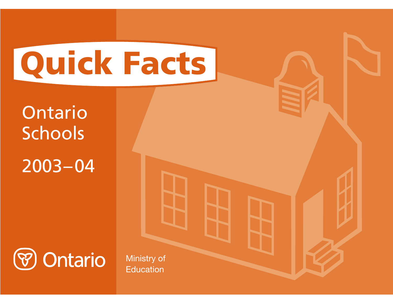# **Quick Facts**

**Ontario** Schools 2003–04



Ministry of **Education**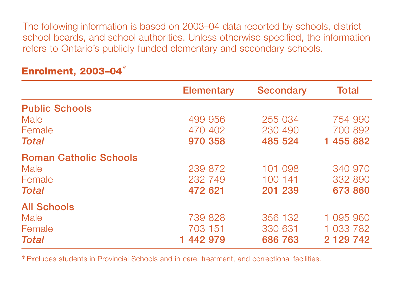The following information is based on 2003–04 data reported by schools, district school boards, and school authorities. Unless otherwise specified, the information refers to Ontario's publicly funded elementary and secondary schools.

|                               | <b>Elementary</b> | <b>Secondary</b> | <b>Total</b>  |
|-------------------------------|-------------------|------------------|---------------|
| <b>Public Schools</b>         |                   |                  |               |
| Male                          | 499 956           | 255 034          | 754 990       |
| Female                        | 470 402           | 230 490          | 700 892       |
| <b>Total</b>                  | 970 358           | 485 524          | 1 455 882     |
| <b>Roman Catholic Schools</b> |                   |                  |               |
| Male                          | 239 872           | 101 098          | 340 970       |
| Female                        | 232 749           | 100 141          | 332 890       |
| <b>Total</b>                  | 472 621           | 201 239          | 673 860       |
| <b>All Schools</b>            |                   |                  |               |
| Male                          | 739 828           | 356 132          | 1 095 960     |
| Female                        | 703 151           | 330 631          | 1 033 782     |
| <b>Total</b>                  | 1 442 979         | 686 763          | 2 1 2 9 7 4 2 |

## **Enrolment, 2003–04** \*

\*Excludes students in Provincial Schools and in care, treatment, and correctional facilities.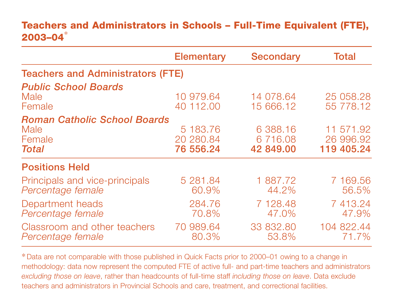#### **Teachers and Administrators in Schools – Full-Time Equivalent (FTE), 2003–04** \*

|                                                                       | <b>Elementary</b>                  | <b>Secondary</b>                 | <b>Total</b>                         |
|-----------------------------------------------------------------------|------------------------------------|----------------------------------|--------------------------------------|
| <b>Teachers and Administrators (FTE)</b>                              |                                    |                                  |                                      |
| <b>Public School Boards</b><br>Male<br>Female                         | 10 979.64<br>40 112,00             | 14 078.64<br>15 666.12           | 25 058.28<br>55 778.12               |
| <b>Roman Catholic School Boards</b><br>Male<br>Female<br><b>Total</b> | 5 183.76<br>20 280.84<br>76 556.24 | 6 388.16<br>6716.08<br>42 849,00 | 11 571.92<br>26 996.92<br>119 405.24 |
| <b>Positions Held</b>                                                 |                                    |                                  |                                      |
| Principals and vice-principals<br>Percentage female                   | 5 281.84<br>60.9%                  | 1 887.72<br>44.2%                | 7 169.56<br>56.5%                    |
| Department heads<br>Percentage female                                 | 284.76<br>70.8%                    | 7 128.48<br>47.0%                | 7413.24<br>47.9%                     |
| Classroom and other teachers<br>Percentage female                     | 70 989.64<br>80.3%                 | 33 832.80<br>53.8%               | 104 822.44<br>71.7%                  |

\*Data are not comparable with those published in Quick Facts prior to 2000–01 owing to a change in methodology: data now represent the computed FTE of active full- and part-time teachers and administrators *excluding those on leave*, rather than headcounts of full-time staff *including those on leave*. Data exclude teachers and administrators in Provincial Schools and care, treatment, and correctional facilities.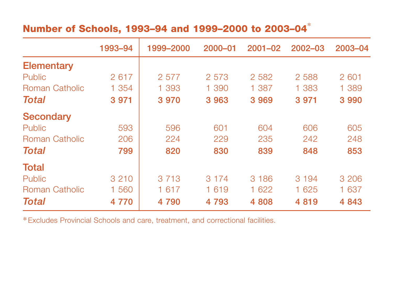# **Number of Schools, 1993–94 and 1999–2000 to 2003–04** \*

|                       | 1993-94 | 1999-2000 | $2000 - 01$ | $2001 - 02$ | 2002-03 | 2003-04 |
|-----------------------|---------|-----------|-------------|-------------|---------|---------|
| <b>Elementary</b>     |         |           |             |             |         |         |
| <b>Public</b>         | 2617    | 2 577     | 2 5 7 3     | 2 5 8 2     | 2 5 8 8 | 2 601   |
| Roman Catholic        | 1 354   | 1 393     | 1 390       | 1 3 8 7     | 1 383   | 1 389   |
| Total                 | 3 9 7 1 | 3 9 7 0   | 3 9 6 3     | 3 9 6 9     | 3 9 7 1 | 3 9 9 0 |
| <b>Secondary</b>      |         |           |             |             |         |         |
| Public                | 593     | 596       | 601         | 604         | 606     | 605     |
| Roman Catholic        | 206     | 224       | 229         | 235         | 242     | 248     |
| Total                 | 799     | 820       | 830         | 839         | 848     | 853     |
| <b>Total</b>          |         |           |             |             |         |         |
| <b>Public</b>         | 3 2 1 0 | 3 7 1 3   | 3 1 7 4     | 3 1 8 6     | 3 1 9 4 | 3 2 0 6 |
| <b>Roman Catholic</b> | 1 560   | 1 617     | 1 6 1 9     | 1 622       | 1 625   | 1 637   |
| Total                 | 4 7 7 0 | 4 790     | 4 7 9 3     | 4 808       | 4819    | 4 8 4 3 |

\*Excludes Provincial Schools and care, treatment, and correctional facilities.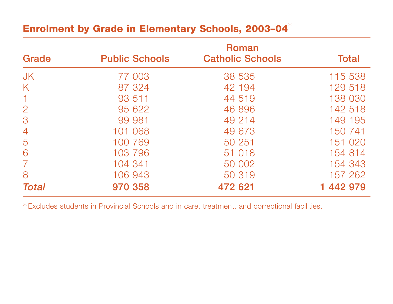### **Enrolment by Grade in Elementary Schools, 2003–04** \*

| Grade          | <b>Public Schools</b> | Roman<br><b>Catholic Schools</b> | <b>Total</b> |
|----------------|-----------------------|----------------------------------|--------------|
|                |                       |                                  |              |
| <b>JK</b>      | 77 003                | 38 535                           | 115 538      |
| K              | 87 324                | 42 194                           | 129 518      |
|                | 93 511                | 44 519                           | 138 030      |
| $\overline{2}$ | 95 622                | 46 896                           | 142 518      |
| 3              | 99 981                | 49 214                           | 149 195      |
| $\overline{4}$ | 101 068               | 49 673                           | 150 741      |
| 5              | 100 769               | 50 251                           | 151 020      |
| 6              | 103 796               | 51 018                           | 154 814      |
|                | 104 341               | 50 002                           | 154 343      |
| 8              | 106 943               | 50 319                           | 157 262      |
| Total          | 970 358               | 472 621                          | 1 442 979    |

\*Excludes students in Provincial Schools and in care, treatment, and correctional facilities.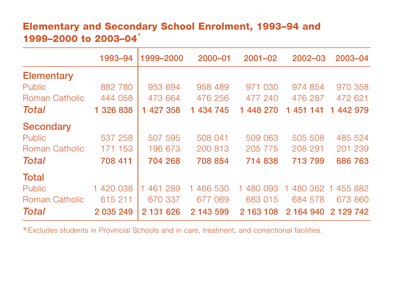#### **Elementary and Secondary School Enrolment, 1993–94 and 1999–2000 to 2003–04** \*

|                       | 1993-94   | 1999-2000 | 2000-01       | $2001 - 02$ | 2002-03   | 2003-04              |
|-----------------------|-----------|-----------|---------------|-------------|-----------|----------------------|
| <b>Elementary</b>     |           |           |               |             |           |                      |
| <b>Public</b>         | 882 780   | 953 694   | 958 489       | 971 030     | 974 854   | 970 358              |
| Roman Catholic        | 444 058   | 473 664   | 476 256       | 477 240     | 476 287   | 472 621              |
| <b>Total</b>          | 1 326 838 | 1 427 358 | 1 434 745     | 1 448 270   | 1 451 141 | 1 442 979            |
| <b>Secondary</b>      |           |           |               |             |           |                      |
| Public                | 537 258   | 507 595   | 508 041       | 509 063     | 505 508   | 485 524              |
| Roman Catholic        | 171 153   | 196 673   | 200 813       | 205 775     | 208 291   | 201 239              |
| Total                 | 708 411   | 704 268   | 708 854       | 714 838     | 713 799   | 686 763              |
| <b>Total</b>          |           |           |               |             |           |                      |
| Public                | 1 420 038 | 1 461 289 | 466 530<br>1. | 1 480 093   | 480 362   | 455 882<br>$\vert$ 1 |
| <b>Roman Catholic</b> | 615 211   | 670 337   | 677 069       | 683 015     | 684 578   | 673 860              |
| Total                 | 2 035 249 | 2 131 626 | 2 143 599     | 2 163 108   | 2 164 940 | 2 1 2 9 7 4 2        |

\*Excludes students in Provincial Schools and in care, treatment, and correctional facilities.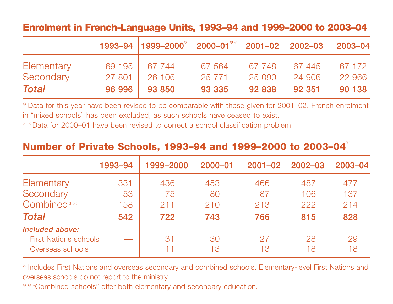#### **Enrolment in French-Language Units, 1993–94 and 1999–2000 to 2003–04**

|                         |                  | 1993-94 1999-2000* 2000-01** 2001-02 2002-03 2003-04 |                    |                  |                 |                  |
|-------------------------|------------------|------------------------------------------------------|--------------------|------------------|-----------------|------------------|
| Elementary<br>Secondary | 69 195<br>27 801 | 67 744<br>26 106                                     | 67 564<br>25 7 7 1 | 67 748<br>25 090 | 67445<br>24 906 | 67 172<br>22 966 |
| Total                   | 96 996           | 93 850                                               | 93 335             | 92 838           | 92 351          | 90 138           |

\*Data for this year have been revised to be comparable with those given for 2001–02. French enrolment in "mixed schools" has been excluded, as such schools have ceased to exist.

\*\*Data for 2000–01 have been revised to correct a school classification problem.

#### **Number of Private Schools, 1993–94 and 1999–2000 to 2003–04** \*

|                              | 1993-94 | 1999-2000 | $2000 - 01$ | $2001 - 02$ | $2002 - 03$ | 2003-04 |
|------------------------------|---------|-----------|-------------|-------------|-------------|---------|
| Elementary                   | 331     | 436       | 453         | 466         | 487         | 477     |
| Secondary                    | 53      | 75        | 80          | 87          | 106         | 137     |
| Combined**                   | 158     | 211       | 210         | 213         | 222         | 214     |
| <b>Total</b>                 | 542     | 722       | 743         | 766         | 815         | 828     |
| Included above:              |         |           |             |             |             |         |
| <b>First Nations schools</b> |         | 31        | 30          | 27          | 28          | 29      |
| Overseas schools             |         |           | 13          | 13          | 18          | 18      |

\*Includes First Nations and overseas secondary and combined schools. Elementary-level First Nations and overseas schools do not report to the ministry.

\*\*"Combined schools" offer both elementary and secondary education.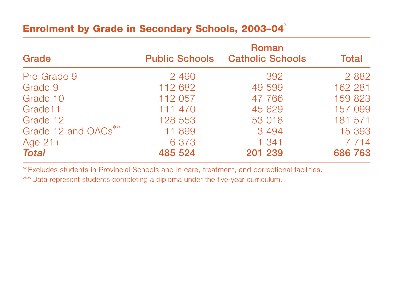## **Enrolment by Grade in Secondary Schools, 2003–04** \*

| Grade               | <b>Public Schools</b> | Roman<br><b>Catholic Schools</b> | <b>Total</b> |
|---------------------|-----------------------|----------------------------------|--------------|
| Pre-Grade 9         | 2 4 9 0               | 392                              | 2 8 8 2      |
| Grade 9             | 112 682               | 49 599                           | 162 281      |
| Grade 10            | 112 057               | 47 766                           | 159 823      |
| Grade11             | 111 470               | 45 629                           | 157 099      |
| Grade 12            | 128 553               | 53 018                           | 181 571      |
| Grade 12 and OACs** | 11 899                | 3 4 9 4                          | 15 393       |
| Age $21+$           | 6 3 7 3               | 1 341                            | 7 7 1 4      |
| <b>Total</b>        | 485 524               | 201 239                          | 686 763      |

\*Excludes students in Provincial Schools and in care, treatment, and correctional facilities.

\*\*Data represent students completing a diploma under the five-year curriculum.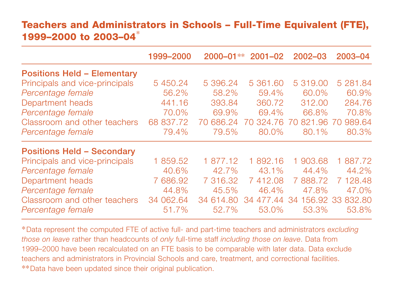#### **Teachers and Administrators in Schools – Full-Time Equivalent (FTE), 1999–2000 to 2003–04** \*

|                                    | 1999-2000 | $2000 - 01**$ | $2001 - 02$  | 2002-03                 | 2003-04  |
|------------------------------------|-----------|---------------|--------------|-------------------------|----------|
| <b>Positions Held - Elementary</b> |           |               |              |                         |          |
| Principals and vice-principals     | 5 450.24  | 5 396.24      | 5 361.60     | 5 319,00                | 5 281.84 |
| Percentage female                  | 56.2%     | 58.2%         | 59.4%        | 60.0%                   | 60.9%    |
| Department heads                   | 441.16    | 393.84        | 360.72       | 312.00                  | 284.76   |
| Percentage female                  | 70.0%     | 69.9%         | 69.4%        | 66.8%                   | 70.8%    |
| Classroom and other teachers       | 68 837.72 | 686.24<br>70  | 324.76<br>70 | 821.96 70<br>70         | 989.64   |
| Percentage female                  | 79.4%     | 79.5%         | 80.0%        | 80.1%                   | 80.3%    |
| <b>Positions Held - Secondary</b>  |           |               |              |                         |          |
| Principals and vice-principals     | 1 859.52  | 1 877.12      | 1 892.16     | 1 903.68                | 1 887.72 |
| Percentage female                  | 40.6%     | 42.7%         | 43.1%        | 44.4%                   | 44.2%    |
| Department heads                   | 7 686.92  | 7 316.32      | 7412.08      | 888.72<br>$\mathcal{T}$ | 7 128.48 |
| Percentage female                  | 44.8%     | 45.5%         | 46.4%        | 47.8%                   | 47.0%    |
| Classroom and other teachers       | 34 062.64 | 34 614.80     | 477.44<br>34 | 156,92 33<br>34         | 832.80   |
| Percentage female                  | 51.7%     | 52.7%         | 53.0%        | 53.3%                   | 53.8%    |

\*Data represent the computed FTE of active full- and part-time teachers and administrators *excluding those on leave* rather than headcounts of *only* full-time staff *including those on leave*. Data from 1999–2000 have been recalculated on an FTE basis to be comparable with later data. Data exclude teachers and administrators in Provincial Schools and care, treatment, and correctional facilities. \*\*Data have been updated since their original publication.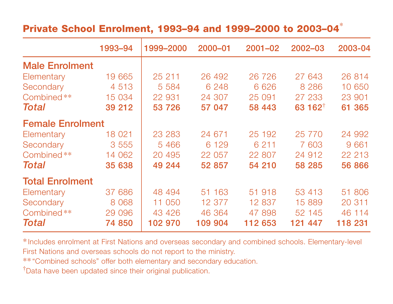## **Private School Enrolment, 1993–94 and 1999–2000 to 2003–04** \*

|                         | 1993-94 | 1999-2000 | 2000-01 | $2001 - 02$ | 2002-03             | 2003-04 |
|-------------------------|---------|-----------|---------|-------------|---------------------|---------|
| <b>Male Enrolment</b>   |         |           |         |             |                     |         |
| Elementary              | 19 665  | 25 211    | 26 492  | 26 726      | 27 643              | 26 814  |
| Secondary               | 4 5 1 3 | 5 5 8 4   | 6 2 4 8 | 6 6 2 6     | 8 2 8 6             | 10 650  |
| Combined**              | 15 034  | 22 931    | 24 307  | 25 091      | 27 233              | 23 901  |
| Total                   | 39 21 2 | 53 726    | 57 047  | 58 443      | 63 162 <sup>†</sup> | 61 365  |
| <b>Female Enrolment</b> |         |           |         |             |                     |         |
| Elementary              | 18 0 21 | 23 283    | 24 671  | 25 192      | 25 7 7 0            | 24 992  |
| Secondary               | 3 5 5 5 | 5 4 6 6   | 6 1 2 9 | 6 2 1 1     | 7 603               | 9 661   |
| Combined**              | 14 062  | 20 495    | 22 057  | 22 807      | 24 912              | 22 213  |
| Total                   | 35 638  | 49 244    | 52 857  | 54 210      | 58 285              | 56 866  |
| <b>Total Enrolment</b>  |         |           |         |             |                     |         |
| Elementary              | 37 686  | 48 494    | 51 163  | 51 918      | 53 413              | 51 806  |
| Secondary               | 8 0 68  | 11 050    | 12 377  | 12 837      | 15 889              | 20 311  |
| Combined**              | 29 096  | 43 4 26   | 46 364  | 47 898      | 52 145              | 46 114  |
| Total                   | 74 850  | 102 970   | 109 904 | 112 653     | 121 447             | 118 231 |

\*Includes enrolment at First Nations and overseas secondary and combined schools. Elementary-level First Nations and overseas schools do not report to the ministry.

\*\*"Combined schools" offer both elementary and secondary education.

†Data have been updated since their original publication.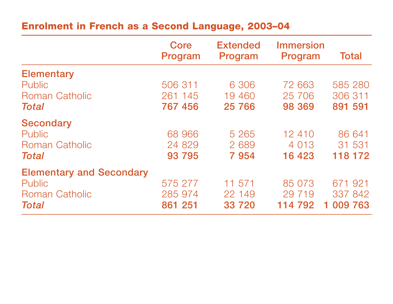## **Enrolment in French as a Second Language, 2003–04**

|                                 | Core<br>Program | <b>Extended</b><br>Program | <b>Immersion</b><br>Program | <b>Total</b> |
|---------------------------------|-----------------|----------------------------|-----------------------------|--------------|
| <b>Elementary</b>               |                 |                            |                             |              |
| Public                          | 506 311         | 6 30 6                     | 72 663                      | 585 280      |
| <b>Roman Catholic</b>           | 261 145         | 19 460                     | 25 706                      | 306 311      |
| <b>Total</b>                    | 767 456         | 25 7 66                    | 98 369                      | 891 591      |
| <b>Secondary</b>                |                 |                            |                             |              |
| <b>Public</b>                   | 68 966          | 5 2 6 5                    | 12 410                      | 86 641       |
| <b>Roman Catholic</b>           | 24 829          | 2 689                      | 4 0 1 3                     | 31 531       |
| <b>Total</b>                    | 93 795          | 7954                       | 16 4 23                     | 118 172      |
| <b>Elementary and Secondary</b> |                 |                            |                             |              |
| Public                          | 575 277         | 11 571                     | 85 073                      | 671 921      |
| <b>Roman Catholic</b>           | 285 974         | 22 149                     | 29 719                      | 337 842      |
| <b>Total</b>                    | 861 251         | 33 720                     | 114 792                     | 1 009 763    |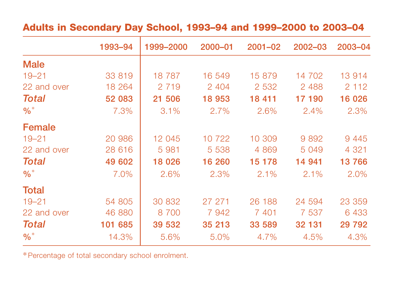#### **Adults in Secondary Day School, 1993–94 and 1999–2000 to 2003–04**

|              | 1993-94 | 1999-2000 | 2000-01 | $2001 - 02$ | 2002-03 | 2003-04  |
|--------------|---------|-----------|---------|-------------|---------|----------|
| <b>Male</b>  |         |           |         |             |         |          |
| $19 - 21$    | 33 819  | 18 7 8 7  | 16 549  | 15 879      | 14 702  | 13 914   |
| 22 and over  | 18 264  | 2 7 1 9   | 2 4 0 4 | 2 5 3 2     | 2 4 8 8 | 2 1 1 2  |
| <b>Total</b> | 52 083  | 21 506    | 18 953  | 18 411      | 17 190  | 16 026   |
| $\%$ *       | 7.3%    | 3.1%      | 2.7%    | 2.6%        | 2.4%    | 2.3%     |
| Female       |         |           |         |             |         |          |
| $19 - 21$    | 20 986  | 12 045    | 10 722  | 10 309      | 9892    | 9 4 4 5  |
| 22 and over  | 28 616  | 5 9 8 1   | 5 5 3 8 | 4 8 6 9     | 5 0 4 9 | 4 3 2 1  |
| <b>Total</b> | 49 602  | 18 026    | 16 260  | 15 178      | 14 941  | 13766    |
| $\%$ *       | 7.0%    | 2.6%      | 2.3%    | 2.1%        | 2.1%    | 2.0%     |
| <b>Total</b> |         |           |         |             |         |          |
| $19 - 21$    | 54 805  | 30 832    | 27 271  | 26 188      | 24 594  | 23 359   |
| 22 and over  | 46 880  | 8 700     | 7942    | 7 401       | 7 5 3 7 | 6 4 3 3  |
| <b>Total</b> | 101 685 | 39 532    | 35 213  | 33 589      | 32 131  | 29 7 9 2 |
| $\%$ *       | 14.3%   | 5.6%      | 5.0%    | 4.7%        | 4.5%    | 4.3%     |

\*Percentage of total secondary school enrolment.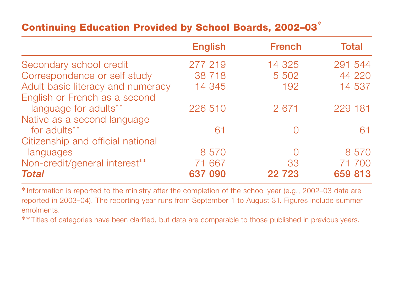## **Continuing Education Provided by School Boards, 2002–03** \*

|                                   | <b>English</b> | <b>French</b> | <b>Total</b> |
|-----------------------------------|----------------|---------------|--------------|
| Secondary school credit           | 277 219        | 14 325        | 291 544      |
| Correspondence or self study      | 38 718         | 5 502         | 44 220       |
| Adult basic literacy and numeracy | 14 345         | 192           | 14 537       |
| English or French as a second     |                |               |              |
| language for adults**             | 226 510        | 2 671         | 229 181      |
| Native as a second language       |                |               |              |
| for adults <sup>**</sup>          | 61             |               | 61           |
| Citizenship and official national |                |               |              |
| languages                         | 8 5 7 0        | $\bigcup$     | 8 5 7 0      |
| Non-credit/general interest**     | 71 667         | 33            | 71 700       |
| <b>Total</b>                      | 637 090        | 22 7 23       | 659 813      |

\*Information is reported to the ministry after the completion of the school year (e.g., 2002–03 data are reported in 2003–04). The reporting year runs from September 1 to August 31. Figures include summer enrolments.

\*\*Titles of categories have been clarified, but data are comparable to those published in previous years.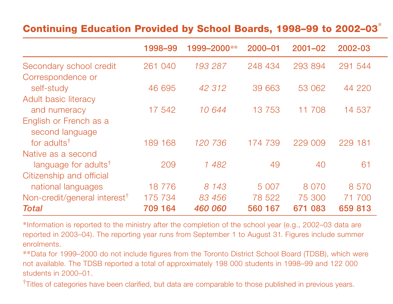## **Continuing Education Provided by School Boards, 1998–99 to 2002–03** \*

|                                           | 1998–99 | 1999-2000** | 2000-01  | $2001 - 02$ | 2002-03 |
|-------------------------------------------|---------|-------------|----------|-------------|---------|
| Secondary school credit                   | 261 040 | 193 287     | 248 434  | 293 894     | 291 544 |
| Correspondence or                         |         |             |          |             |         |
| self-study                                | 46 695  | 42 312      | 39 663   | 53 062      | 44 220  |
| Adult basic literacy                      |         |             |          |             |         |
| and numeracy                              | 17 542  | 10 644      | 13 7 5 3 | 11 708      | 14 537  |
| English or French as a<br>second language |         |             |          |             |         |
| for adults <sup>†</sup>                   | 189 168 | 120 736     | 174 739  | 229 009     | 229 181 |
| Native as a second                        |         |             |          |             |         |
| language for adults <sup>†</sup>          | 209     | 1 482       | 49       | 40          | 61      |
| Citizenship and official                  |         |             |          |             |         |
| national languages                        | 18 776  | 8 1 4 3     | 5 0 0 7  | 8 0 7 0     | 8 5 7 0 |
| Non-credit/general interest <sup>†</sup>  | 175 734 | 83 456      | 78 522   | 75 300      | 71 700  |
| <b>Total</b>                              | 709 164 | 460 060     | 560 167  | 671 083     | 659 813 |

\*Information is reported to the ministry after the completion of the school year (e.g., 2002–03 data are reported in 2003–04). The reporting year runs from September 1 to August 31. Figures include summer enrolments.

\*\*Data for 1999–2000 do not include figures from the Toronto District School Board (TDSB), which were not available. The TDSB reported a total of approximately 198 000 students in 1998–99 and 122 000 students in 2000–01.

†Titles of categories have been clarified, but data are comparable to those published in previous years.